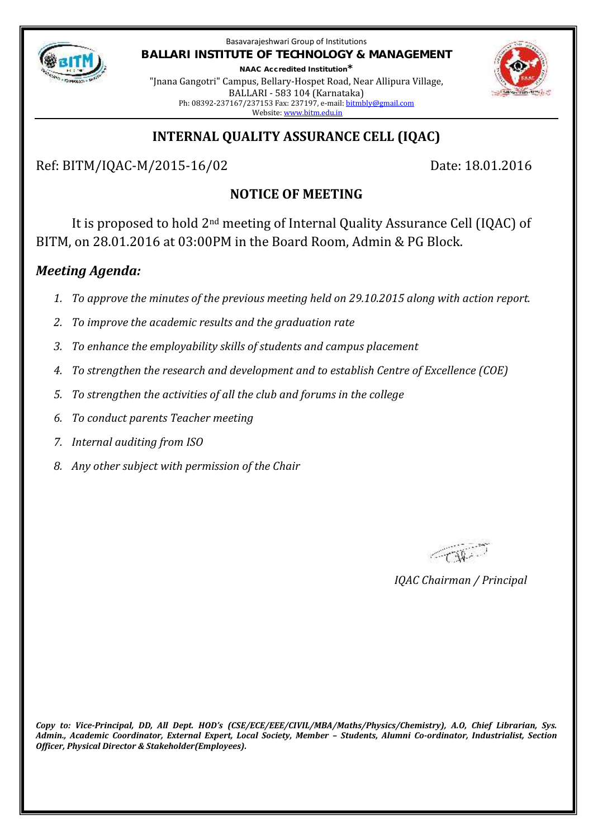

Basavarajeshwari Group of Institutions **BALLARI INSTITUTE OF TECHNOLOGY & MANAGEMENT**

**NAAC Accredited Institution\*** "Jnana Gangotri" Campus, Bellary-Hospet Road, Near Allipura Village, BALLARI - 583 104 (Karnataka) Ph: 08392-237167/237153 Fax: 237197, e-mail: bitmbly@gmail.com Website: www.bitm.edu.in



# **INTERNAL QUALITY ASSURANCE CELL (IQAC)**

Ref: BITM/IQAC-M/2015-16/02 Date: 18.01.2016

# **NOTICE OF MEETING**

It is proposed to hold 2nd meeting of Internal Quality Assurance Cell (IQAC) of BITM, on 28.01.2016 at 03:00PM in the Board Room, Admin & PG Block.

# *Meeting Agenda:*

- *1. To approve the minutes of the previous meeting held on 29.10.2015 along with action report.*
- *2. To improve the academic results and the graduation rate*
- *3. To enhance the employability skills of students and campus placement*
- *4. To strengthen the research and development and to establish Centre of Excellence (COE)*
- *5. To strengthen the activities of all the club and forums in the college*
- *6. To conduct parents Teacher meeting*
- *7. Internal auditing from ISO*
- *8. Any other subject with permission of the Chair*

Complete .

*IQAC Chairman / Principal*

*Copy to: Vice-Principal, DD, All Dept. HOD's (CSE/ECE/EEE/CIVIL/MBA/Maths/Physics/Chemistry), A.O, Chief Librarian, Sys. Admin., Academic Coordinator, External Expert, Local Society, Member – Students, Alumni Co-ordinator, Industrialist, Section Officer, Physical Director & Stakeholder(Employees).*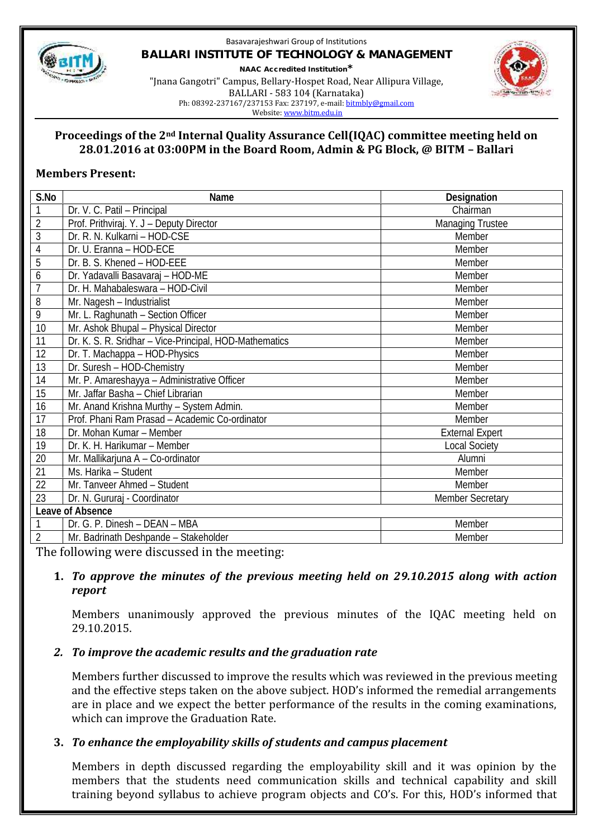

#### Basavarajeshwari Group of Institutions **BALLARI INSTITUTE OF TECHNOLOGY & MANAGEMENT NAAC Accredited Institution\*** "Jnana Gangotri" Campus, Bellary-Hospet Road, Near Allipura Village, BALLARI - 583 104 (Karnataka) Ph: 08392-237167/237153 Fax: 237197, e-mail: bitmbly@gmail.com



Website: www.bitm.edu.in

#### **Proceedings of the 2nd Internal Quality Assurance Cell(IQAC) committee meeting held on 28.01.2016 at 03:00PM in the Board Room, Admin & PG Block, @ BITM – Ballari**

### **Members Present:**

| S.No             | Name                                                   | Designation             |
|------------------|--------------------------------------------------------|-------------------------|
| 1                | Dr. V. C. Patil - Principal                            | Chairman                |
| $\overline{2}$   | Prof. Prithviraj. Y. J - Deputy Director               | <b>Managing Trustee</b> |
| 3                | Dr. R. N. Kulkarni - HOD-CSE                           | Member                  |
| 4                | Dr. U. Eranna - HOD-ECE                                | Member                  |
| $\overline{5}$   | Dr. B. S. Khened - HOD-EEE                             | Member                  |
| 6                | Dr. Yadavalli Basavaraj - HOD-ME                       | Member                  |
|                  | Dr. H. Mahabaleswara - HOD-Civil                       | Member                  |
| 8                | Mr. Nagesh - Industrialist                             | Member                  |
| $\overline{9}$   | Mr. L. Raghunath - Section Officer                     | Member                  |
| 10               | Mr. Ashok Bhupal - Physical Director                   | Member                  |
| 11               | Dr. K. S. R. Sridhar - Vice-Principal, HOD-Mathematics | Member                  |
| 12               | Dr. T. Machappa - HOD-Physics                          | Member                  |
| 13               | Dr. Suresh - HOD-Chemistry                             | Member                  |
| 14               | Mr. P. Amareshayya - Administrative Officer            | Member                  |
| 15               | Mr. Jaffar Basha - Chief Librarian                     | Member                  |
| 16               | Mr. Anand Krishna Murthy - System Admin.               | Member                  |
| 17               | Prof. Phani Ram Prasad - Academic Co-ordinator         | Member                  |
| 18               | Dr. Mohan Kumar - Member                               | <b>External Expert</b>  |
| 19               | Dr. K. H. Harikumar - Member                           | <b>Local Society</b>    |
| 20               | Mr. Mallikarjuna A - Co-ordinator                      | Alumni                  |
| 21               | Ms. Harika - Student                                   | Member                  |
| 22               | Mr. Tanveer Ahmed - Student                            | Member                  |
| 23               | Dr. N. Gururaj - Coordinator                           | <b>Member Secretary</b> |
| Leave of Absence |                                                        |                         |
|                  | Dr. G. P. Dinesh - DEAN - MBA                          | Member                  |
| $\overline{2}$   | Mr. Badrinath Deshpande - Stakeholder                  | Member                  |

The following were discussed in the meeting:

#### **1.** *To approve the minutes of the previous meeting held on 29.10.2015 along with action report*

Members unanimously approved the previous minutes of the IQAC meeting held on 29.10.2015.

## *2. To improve the academic results and the graduation rate*

Members further discussed to improve the results which was reviewed in the previous meeting and the effective steps taken on the above subject. HOD's informed the remedial arrangements are in place and we expect the better performance of the results in the coming examinations, which can improve the Graduation Rate.

## **3.** *To enhance the employability skills of students and campus placement*

Members in depth discussed regarding the employability skill and it was opinion by the members that the students need communication skills and technical capability and skill training beyond syllabus to achieve program objects and CO's. For this, HOD's informed that